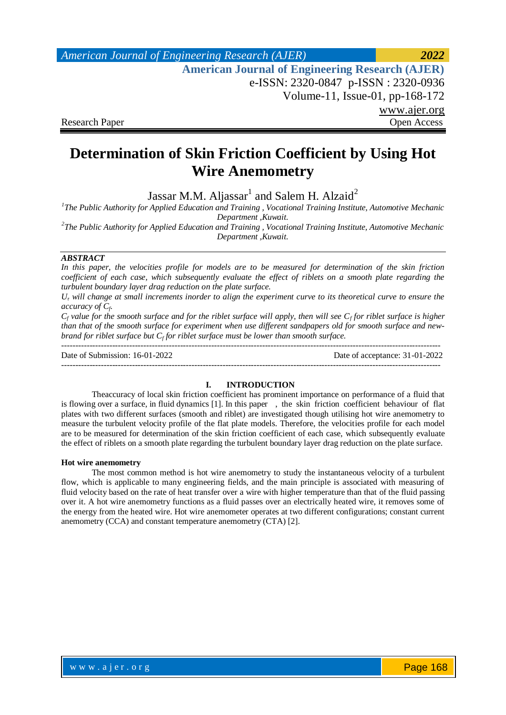*American Journal of Engineering Research (AJER) 2022*  **American Journal of Engineering Research (AJER)** e-ISSN: 2320-0847 p-ISSN : 2320-0936 Volume-11, Issue-01, pp-168-172 www.ajer.org Research Paper **Open Access** Open Access Open Access Open Access Open Access Open Access Open Access Open Access of  $\theta$ 

# **Determination of Skin Friction Coefficient by Using Hot Wire Anemometry**

Jassar M.M. Aljassar $^1$  and Salem H. Alzaid $^2$ 

<sup>1</sup>The Public Authority for Applied Education and Training, Vocational Training Institute, Automotive Mechanic *Department ,Kuwait.*

*2 The Public Authority for Applied Education and Training , Vocational Training Institute, Automotive Mechanic Department ,Kuwait.*

### *ABSTRACT*

*In this paper, the velocities profile for models are to be measured for determination of the skin friction coefficient of each case, which subsequently evaluate the effect of riblets on a smooth plate regarding the turbulent boundary layer drag reduction on the plate surface.* 

 $U<sub>\tau</sub>$  will change at small increments inorder to align the experiment curve to its theoretical curve to ensure the *accuracy of C<sup>f</sup> .* 

*C<sup>f</sup> value for the smooth surface and for the riblet surface will apply, then will see C<sup>f</sup> for riblet surface is higher than that of the smooth surface for experiment when use different sandpapers old for smooth surface and newbrand for riblet surface but C<sub>f</sub> for riblet surface must be lower than smooth surface.* 

-------------------------------------------------------------------------------------------------------------------------------------- Date of Submission: 16-01-2022 Date of acceptance: 31-01-2022 --------------------------------------------------------------------------------------------------------------------------------------

#### **I. INTRODUCTION**

Theaccuracy of local skin friction coefficient has prominent importance on performance of a fluid that is flowing over a surface, in fluid dynamics [1]. In this paper , the skin friction coefficient behaviour of flat plates with two different surfaces (smooth and riblet) are investigated though utilising hot wire anemometry to measure the turbulent velocity profile of the flat plate models. Therefore, the velocities profile for each model are to be measured for determination of the skin friction coefficient of each case, which subsequently evaluate the effect of riblets on a smooth plate regarding the turbulent boundary layer drag reduction on the plate surface.

#### **Hot wire anemometry**

The most common method is hot wire anemometry to study the instantaneous velocity of a turbulent flow, which is applicable to many engineering fields, and the main principle is associated with measuring of fluid velocity based on the rate of heat transfer over a wire with higher temperature than that of the fluid passing over it. A hot wire anemometry functions as a fluid passes over an electrically heated wire, it removes some of the energy from the heated wire. Hot wire anemometer operates at two different configurations; constant current anemometry (CCA) and constant temperature anemometry (CTA) [2].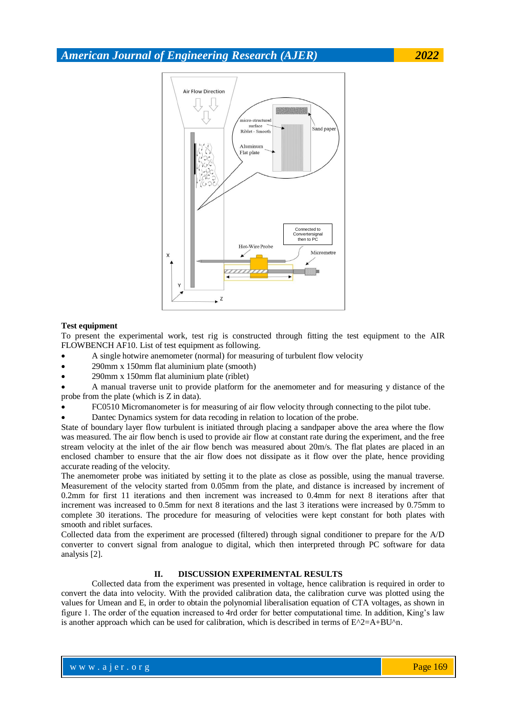*American Journal of Engineering Research (AJER) 2022*



#### **Test equipment**

To present the experimental work, test rig is constructed through fitting the test equipment to the AIR FLOWBENCH AF10. List of test equipment as following.

- A single hotwire anemometer (normal) for measuring of turbulent flow velocity
- 290mm x 150mm flat aluminium plate (smooth)
- 290mm x 150mm flat aluminium plate (riblet)

 A manual traverse unit to provide platform for the anemometer and for measuring y distance of the probe from the plate (which is Z in data).

- FC0510 Micromanometer is for measuring of air flow velocity through connecting to the pilot tube.
- Dantec Dynamics system for data recoding in relation to location of the probe.

State of boundary layer flow turbulent is initiated through placing a sandpaper above the area where the flow was measured. The air flow bench is used to provide air flow at constant rate during the experiment, and the free stream velocity at the inlet of the air flow bench was measured about 20m/s. The flat plates are placed in an enclosed chamber to ensure that the air flow does not dissipate as it flow over the plate, hence providing accurate reading of the velocity.

The anemometer probe was initiated by setting it to the plate as close as possible, using the manual traverse. Measurement of the velocity started from 0.05mm from the plate, and distance is increased by increment of 0.2mm for first 11 iterations and then increment was increased to 0.4mm for next 8 iterations after that increment was increased to 0.5mm for next 8 iterations and the last 3 iterations were increased by 0.75mm to complete 30 iterations. The procedure for measuring of velocities were kept constant for both plates with smooth and riblet surfaces.

Collected data from the experiment are processed (filtered) through signal conditioner to prepare for the A/D converter to convert signal from analogue to digital, which then interpreted through PC software for data analysis [2].

## **II. DISCUSSION EXPERIMENTAL RESULTS**

Collected data from the experiment was presented in voltage, hence calibration is required in order to convert the data into velocity. With the provided calibration data, the calibration curve was plotted using the values for Umean and E, in order to obtain the polynomial liberalisation equation of CTA voltages, as shown in figure 1. The order of the equation increased to 4rd order for better computational time. In addition, King's law is another approach which can be used for calibration, which is described in terms of  $E^{\wedge}2=A+BU^{\wedge}n$ .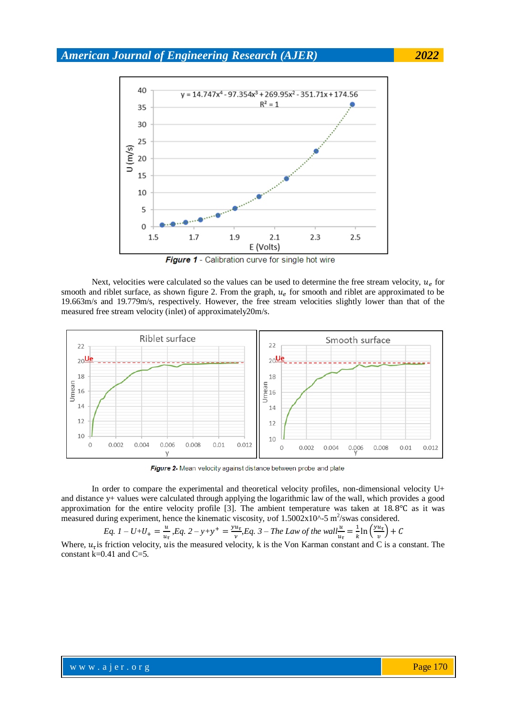*American Journal of Engineering Research (AJER) 2022*



Next, velocities were calculated so the values can be used to determine the free stream velocity,  $u_e$  for smooth and riblet surface, as shown figure 2. From the graph,  $u_e$  for smooth and riblet are approximated to be 19.663m/s and 19.779m/s, respectively. However, the free stream velocities slightly lower than that of the measured free stream velocity (inlet) of approximately20m/s.



Figure 2- Mean velocity against distance between probe and plate

In order to compare the experimental and theoretical velocity profiles, non-dimensional velocity U+ and distance y+ values were calculated through applying the logarithmic law of the wall, which provides a good approximation for the entire velocity profile [3]. The ambient temperature was taken at  $18.8^{\circ}$ C as it was measured during experiment, hence the kinematic viscosity, vof  $1.5002 \times 10^{25}$  m<sup>2</sup>/swas considered.

Eq. 
$$
I - U + U_{+} = \frac{u}{u_{\tau}}
$$
, Eq. 2 - y + y^{+} =  $\frac{yu_{\tau}}{v}$ , Eq. 3 - The Law of the wall  $\frac{u}{u_{\tau}} = \frac{1}{k} \ln \left( \frac{yu_{\tau}}{v} \right) + C$ 

Where,  $u_{\tau}$  is friction velocity, u is the measured velocity, k is the Von Karman constant and C is a constant. The constant  $k=0.41$  and  $C=5$ .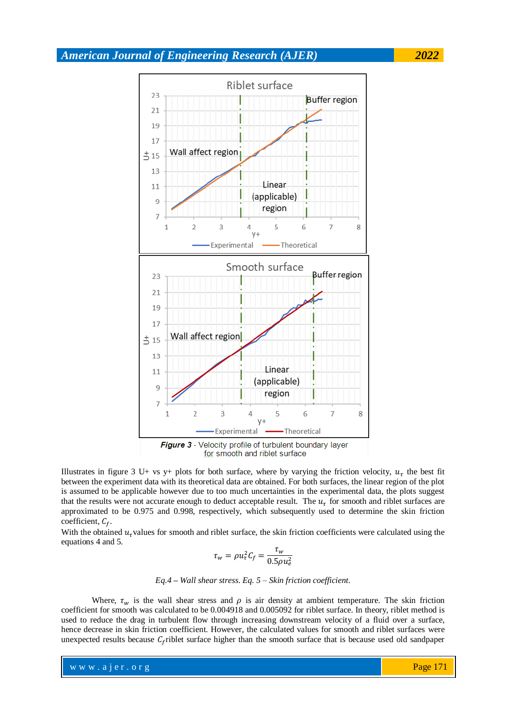# *American Journal of Engineering Research (AJER) 2022*



Illustrates in figure 3 U+ vs y+ plots for both surface, where by varying the friction velocity,  $u<sub>\tau</sub>$  the best fit between the experiment data with its theoretical data are obtained. For both surfaces, the linear region of the plot is assumed to be applicable however due to too much uncertainties in the experimental data, the plots suggest that the results were not accurate enough to deduct acceptable result. The  $u<sub>\tau</sub>$  for smooth and riblet surfaces are approximated to be 0.975 and 0.998, respectively, which subsequently used to determine the skin friction coefficient,  $C_f$ .

With the obtained  $u<sub>\tau</sub>$  values for smooth and riblet surface, the skin friction coefficients were calculated using the equations 4 and 5.

$$
\tau_w = \rho u_\tau^2 C_f = \frac{\tau_w}{0.5 \rho u_e^2}
$$

*Eq.4 – Wall shear stress. Eq. 5 – Skin friction coefficient.*

Where,  $\tau_w$  is the wall shear stress and  $\rho$  is air density at ambient temperature. The skin friction coefficient for smooth was calculated to be 0.004918 and 0.005092 for riblet surface. In theory, riblet method is used to reduce the drag in turbulent flow through increasing downstream velocity of a fluid over a surface, hence decrease in skin friction coefficient. However, the calculated values for smooth and riblet surfaces were unexpected results because  $C_f$ riblet surface higher than the smooth surface that is because used old sandpaper